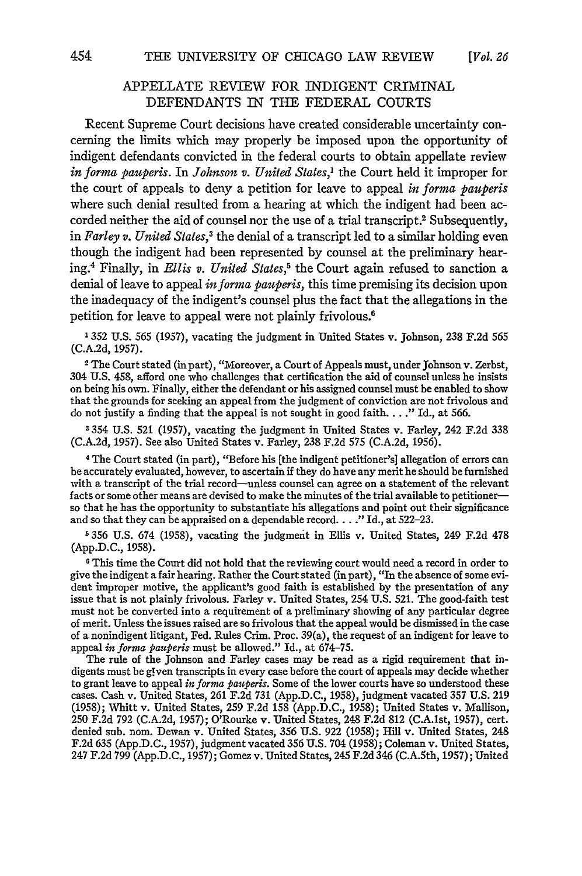# APPELLATE REVIEW FOR INDIGENT CRIMINAL DEFENDANTS IN THE FEDERAL COURTS

Recent Supreme Court decisions have created considerable uncertainty concerning the limits which may properly be imposed upon the opportunity of indigent defendants convicted in the federal courts to obtain appellate review *in forma pauperis. In Johnson v. United States,'* the Court held it improper for the court of appeals to deny a petition for leave to appeal *in forma pauperis* where such denial resulted from a hearing at which the indigent had been accorded neither the aid of counsel nor the use of a trial transcript.<sup>2</sup> Subsequently, in *Farley v. United States*,<sup>3</sup> the denial of a transcript led to a similar holding even though the indigent had been represented by counsel at the preliminary hearing.4 Finally, in *Ellis v. United States,5* the Court again refused to sanction a denial of leave to appeal *informa pauperis,* this time premising its decision upon the inadequacy of the indigent's counsel plus the fact that the allegations in the petition for leave to appeal were not plainly frivolous.<sup>6</sup>

1352 U.S. 565 (1957), vacating the judgment in United States v. Johnson, 238 F.2d 565 (C.A.2d, 1957).

<sup>2</sup> The Court stated (in part), "Moreover, a Court of Appeals must, under Johnson v. Zerbst, 304 U.S. 458, afford one who challenges that certification the aid of counsel unless he insists on being his own. Finally, either the defendant or his assigned counsel must be enabled to show that the grounds for seeking an appeal from the judgment of conviction are not frivolous and do not justify a finding that the appeal is not sought in good faith.... **."** Id., at 566.

3354 U.S. **521** (1957), vacating the judgment in United States v. Farley, 242 F.2d 338 (C.A.2d, 1957). See also United States v. Farley, 238 F.2d 575 (C.A.2d, 1956).

4 The Court stated (in part), "Before his [the indigent petitioner's] allegation of errors can be accurately evaluated, however, to ascertain if they do have any merit he should be furnished with a transcript of the trial record-unless counsel can agree on a statement of the relevant facts or some other means are devised to make the minutes of the trial available to petitionerso that he has the opportunity to substantiate his allegations and point out their significance and so that they can be appraised on a dependable record. . **. ."** Id., at 522-23.

**5** 356 U.S. 674 (1958), vacating the judgment in Ellis v. United States, 249 F.2d 478 (App.D.C., 1958).

<sup>6</sup> This time the Court did not hold that the reviewing court would need a record in order to give the indigent a fair hearing. Rather the Court stated (in part), "In the absence of some evident improper motive, the applicant's good faith is established by the presentation of any issue that is not plainly frivolous. Farley v. United States, 254 U.S. 521. The good-faith test must not be converted into a requirement of a preliminary showing of any particular degree of merit. Unless the issues raised are so frivolous that the appeal would be dismissed in the case of a nonindigent litigant, Fed. Rules Crim. Proc. 39(a), the request of an indigent for leave to appeal *in forma pauperis* must be allowed." Id., at 674-75.

The rule of the Johnson and Farley cases may be read as a rigid requirement that indigents must be given transcripts in every case before the court of appeals may decide whether to grant leave to appeal *inforna pauperis.* Some of the lower courts have so understood these cases. Cash v. United States, 261 F.2d 731 (App.D.C., 1958), judgment vacated 357 U.S. 219 (1958); Whitt v. United States, 259 F.2d 158 (App.D.C., 1958); United States v. Mallison 250 F.2d 792 (C.A.2d, 1957); O'Rourke v. United States, 248 F.2d 812 (C.A.lst, 1957), cert. denied sub. nom. Dewan v. United States, 356 U.S. 922 (1958); Hill v. United States, 248 F.2d 635 (App.D.C., 1957), judgment vacated 356 U.S. 704 (1958); Coleman v. United States, 247 F.2d 799 (App.D.C., 1957); Gomez v. United States, 245 F.2d 346 (C.A.5th, 1957); United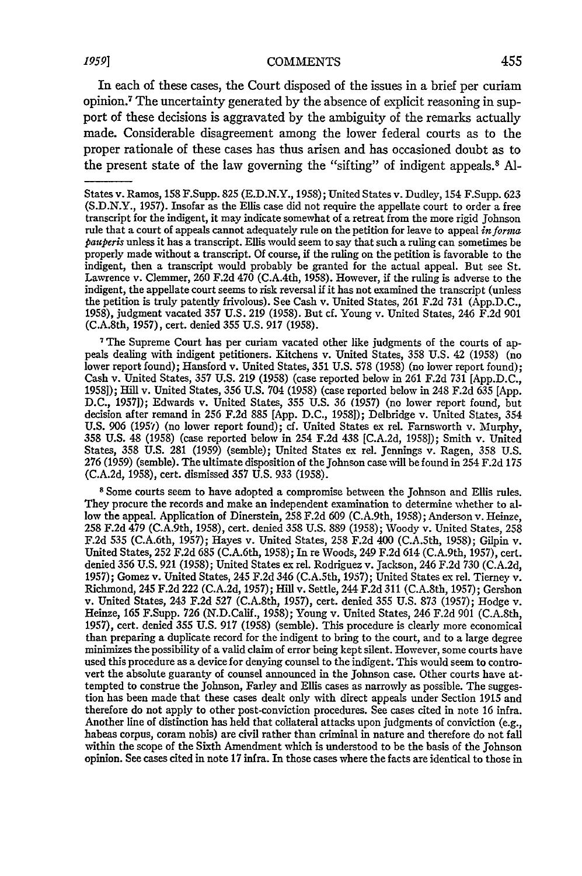In each of these cases, the Court disposed of the issues in a brief per curiam opinion.7 The uncertainty generated by the absence of explicit reasoning in support of these decisions is aggravated by the ambiguity of the remarks actually made. Considerable disagreement among the lower federal courts as to the proper rationale of these cases has thus arisen and has occasioned doubt as to the present state of the law governing the "sifting" of indigent appeals.<sup>8</sup>**Al-**

<sup>7</sup> The Supreme Court has per curiam vacated other like judgments of the courts of appeals dealing with indigent petitioners. Kitchens v. United States, 358 U.S. 42 (1958) (no lower report found); Hansford v. United States, 351 U.S. 578 (1958) (no lower report found); Cash v. United States, 357 U.S. 219 (1958) (case reported below in 261 F.2d 731 [App.D.C., 1958]); Hill v. United States, 356 U.S. 704 (1958) (case reported below in 248 F.2d 635 [App. D.C., 1957]); Edwards v. United States, 355 U.S. 36 (1957) (no lower report found, but decision after remand in 256 F.2d 885 [App. D.C., 1958]); Delbridge v. United States, 354 U.S. 906 (1957) (no lower report found); cf. United States ex rel. Farnsworth v. Murphy 358 U.S. 48 (1958) (case reported below in 254 F.2d 438 [C.A.2d, 1958]); Smith v. United States, 358 U.S. 281 (1959) (semble); United States ex rel. Jennings v. Ragen, 358 U.S. 276 (1959) (semble). The ultimate disposition of the Johnson case will be found in 254 F.2d 175 (C.A.2d, 1958), cert. dismissed 357 U.S. 933 (1958).

**<sup>8</sup>**Some courts seem to have adopted a compromise between the Johnson and Ellis rules. They procure the records and make an independent examination to determine whether to allow the appeal. Application of Dinerstein, 258 F.2d 609 (C.A.9th, 1958); Anderson v. Heinze, 258 F.2d 479 (C.A.9th, 1958), cert. denied 358 U.S. 889 (1958); Woody v. United States, 258 F.2d 535 (C.A.6th, 1957); Hayes v. United States, 258 F.2d 400 (C.A.Sth, 1958); Gilpin v. United States, 252 F.2d 685 (C.A.6th, 1958); In re Woods, 249 F.2d 614 (C.A.9th, 1957), cert. denied 356 U.S. 921 (1958); United States ex rel. Rodriguez v. Jackson, 246 F.2d 730 (C.A.2d, 1957); Gomez v. United States, 245 F.2d 346 (C.A.5th, **1957);** United States ex rel. Tierney v. Richmond, 245 F.2d 222 (C.A.2d, 1957); Hill v. Settle, 244 F.2d 311 (C.A.8th, 1957); Gershon v. United States, 243 F.2d 527 (C.A.8th, 1957), cert. denied 355 U.S. 873 (1957); Hodge v. Heinze, 165 F.Supp. 726 (N.D.Calif., 1958); Young v. United States, 246 F.2d 901 (C.A.8th, 1957), cert. denied 355 U.S. **917** (1958) (semble). This procedure is clearly more economical than preparing a duplicate record for the indigent to bring to the court, and to a large degree minimizes the possibility of a valid claim of error being kept silent. However, some courts have used this procedure as a device for denying counsel to the indigent. This would seem to controvert the absolute guaranty of counsel announced in the Johnson case. Other courts have attempted to construe the Johnson, Farley and Ellis cases as narrowly as possible. The suggestion has been made that these cases dealt only with direct appeals under Section 1915 and therefore do not apply to other post-conviction procedures. See cases cited in note 16 infra. Another line of distinction has held that collateral attacks upon judgments of conviction (e.g., habeas corpus, coram nobis) are civil rather than criminal in nature and therefore do not fall within the scope of the Sixth Amendment which is understood to be the basis of the Johnson opinion. See cases cited in note 17 infra. In those cases where the facts are identical to those in

States v. Ramos, 158 F.Supp. 825 (E.D.N.Y., 1958); United States v. Dudley, 154 F.Supp. 623 (S.D.N.Y., 1957). Insofar as the Ellis case did not require the appellate court to order a free transcript for the indigent, it may indicate somewhat of a retreat from the more rigid Johnson rule that a court of appeals cannot adequately rule on the petition for leave to appeal *informa pauperis* unless it has a transcript. Ellis would seem to say that such a ruling can sometimes be properly made without a transcript. Of course, **if** the ruling on the petition is favorable to the indigent, then a transcript would probably be granted for the actual appeal. But see St. Lawrence v. Clemmer, 260 F.2d 470 (C.A.4th, 1958). However, if the ruling is adverse to the indigent, the appellate court seems to risk reversal **if** it has not examined the transcript (unless the petition is truly patently frivolous). See Cash v. United States, 261 F.2d 731 (App.D.C., 1958), judgment vacated **357** U.S. 219 (1958). But cf. Young v. United States, 246 F.2d 901 (C.A.8th, 1957), cert. denied 355 U.S. 917 (1958).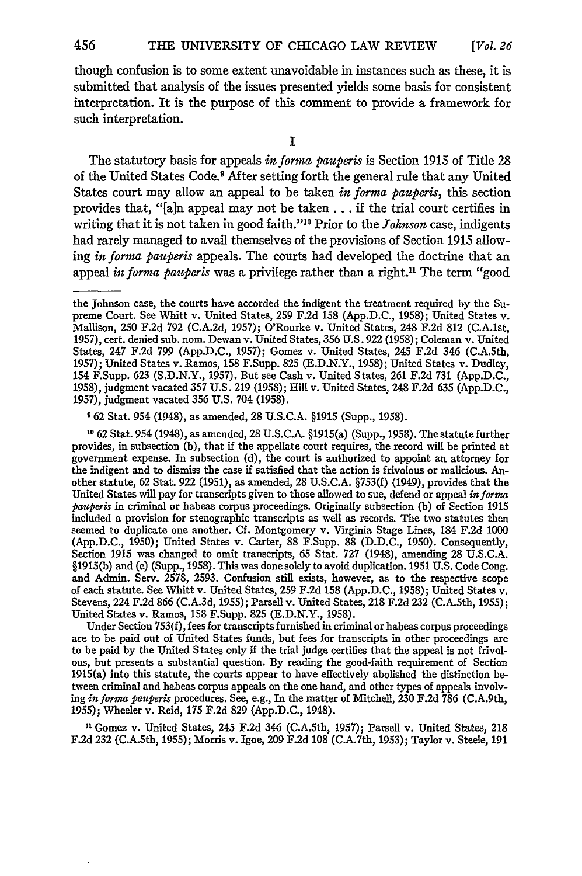though confusion is to some extent unavoidable in instances such as these, it is submitted that analysis of the issues presented yields some basis for consistent interpretation. It is the purpose of this comment to provide a framework for such interpretation.

**I**

The statutory basis for appeals *in forma pauperis* is Section 1915 of Title 28 of the United States Code.9 After setting forth the general rule that any United States court may allow an appeal to be taken *in formz pauperis,* this section provides that, "[a]n appeal may not be taken **... if** the trial court certifies in writing that it is not taken in good faith."<sup>10</sup> Prior to the *Johnson* case, indigents had rarely managed to avail themselves of the provisions of Section 1915 allowing *in forms pauperis* appeals. The courts had developed the doctrine that an appeal *in forma pauperis* was a privilege rather than a right." The term "good

**9** 62 Stat. 954 (1948), as amended, 28 U.S.C.A. §1915 (Supp., 1958).

**10** 62 Stat. 954 (1948), as amended, 28 U.S.C.A. §1915(a) (Supp., 1958). The statute further provides, in subsection (b), that if the appellate court requires, the record will be printed at government expense. In subsection (d), the court is authorized to appoint an attorney for the indigent and to dismiss the case if satisfied that the action is frivolous or malicious. Another statute, 62 Stat. 922 (1951), as amended, 28 U.S.C.A. §753(f) (1949), provides that the United States will pay for transcripts given to those allowed to sue, defend or appeal *informa pauperis* in criminal or habeas corpus proceedings. Originally subsection (b) of Section 1915 included a provision for stenographic transcripts as well as records. The two statutes then seemed to duplicate one another. **Cf.** Montgomery v. Virginia Stage Lines, 184 F.2d 1000 (App.D.C., 1950); United States v. Carter, 88 F.Supp. 88 (D.D.C., 1950). Consequently, Section 1915 was changed to omit transcripts, 65 Stat. 727 (1948), amending 28 U.S.C.A. §1915(b) and (e) (Supp., 1958). This was done solely to avoid duplication. 1951 U.S. Code Cong. and Admin. Serv. 2578, 2593. Confusion still exists, however, as to the respective scope of each statute. See Whitt v. United States, 259 F.2d 158 (App.D.C., 1958); United States v. Stevens, 224 F.2d 866 (C.A.3d, 1955); Farsell v. United States, 218 F.2d 232 (C.A.5th, 1955); United States v. Ramos, 158 F.Supp. 825 (E.D.N.Y., 1958).

Under Section 753(f), fees for transcripts furnished in criminal or habeas corpus proceedings<br>are to be paid out of United States funds, but fees for transcripts in other proceedings are<br>to be paid by the United States onl ous, but presents a substantial question. By reading the good-faith requirement of Section 1915(a) into this statute, the courts appear to have effectively abolished the distinction between criminal and habeas corpus appeals on the one hand, and other types of appeals involving *informa pauperis* procedures. See, e.g., In the matter of Mitchell, 230 F.2d 786 (C.A.9th, 1955); Wheeler v. Reid, 175 F.2d 829 (App.D.C., 1948).

**"1** Gomez v. United States, 245 F.2d 346 (C.A.5th, 1957); Parsell v. United States, 218 F.2d 232 (C.A.Sth, 1955); Morris v. Igoe, 209 F.2d 108 (C.A.7th, 1953); Taylor v. Steele, 191

the Johnson case, the courts have accorded the indigent the treatment required by the Supreme Court. See Whitt v. United States, 259 F.2d 158 (App.D.C., 1958); United States v. Mallison, 250 F.2d 792 (C.A.2d, 1957); O'Rourke v. United States, 248 F.2d 812 (C.A.lst, 1957), cert. denied sub. nom. Dewan v. United States, 356 U.S. 922 (1958); Coleman v. United States, 247 F.2d 799 (App.D.C., 1957); Gomez v. United States, 245 F.2d 346 (C.A.5th, 1957); United States v. Ramos, 158 F.Supp. 825 (E.D.N.Y., 1958); United States v. Dudley, 154 F.Supp. **623** (S.D.N.Y., 1957). But see Cash v. United States, 261 F.2d 731 (App.D.C., 1958), judgment vacated 357 U.S. 219 (1958); Hill v. United States, 248 F.2d **635** (App.D.C., 1957), judgment vacated 356 U.S. 704 (1958).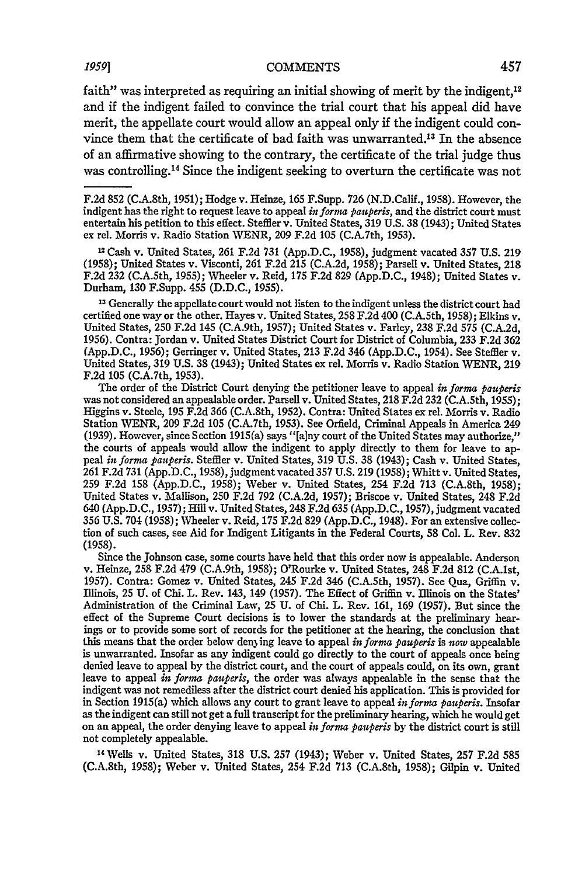faith" was interpreted as requiring an initial showing of merit by the indigent, $12$ and if the indigent failed to convince the trial court that his appeal did have merit, the appellate court would allow an appeal only if the indigent could convince them that the certificate of bad faith was unwarranted.13 In the absence of an affirmative showing to the contrary, the certificate of the trial judge thus was controlling. 4 Since the indigent seeking to overturn the certificate was not

2 Cash v. United States, 261 F.2d 731 (App.D.C., 1958), judgment vacated **357** U.S. 219 (1958); United States v. Visconti, 261 F.2d 215 (C.A.2d, 1958); Parsell v. United States, 218 F.2d 232 (C.A.5th, 1955); Wheeler v. Reid, **175** F.2d 829 (App.D.C., 1948); United States v. Durham, 130 F.Supp. 455 (D.D.C., 1955).

**<sup>13</sup>**Generally the appellate court would not listen to the indigent unless the district court had certified one way or the other. Hayes v. United States, 258 F.2d 400 (C.A.5th, 1958); Elkins v. United States, 250 F.2d 145 (C.A.9th, 1957); United States v. Farley, 238 F.2d 575 (C.A.2d, 1956). Contra: Jordan v. United States District Court for District of Columbia, 233 F.2d 362 (App.D.C., 1956); Gerringer v. United States, 213 F.2d 346 (App.D.C., 1954). See Steffler v. United States, 319 U.S. 38 (1943); United States ex rel. Morris v. Radio Station WENR, 219 F.2d 105 (C.A.7th, 1953).

The order of the District Court denying the petitioner leave to appeal *in forma pauperis* was not considered an appealable order. Parsell v. United States, 218 F.2d 232 (C.A.5th, 1955); Higgins v. Steele, 195 F.2d 366 (C.A.8th, 1952). Contra: United States ex rel. Morris v. Radio Station WENR, 209 F.2d 105 (C.A.7th, 1953). See Orfield, Criminal Appeals in America 249 (1939). However, since Section 1915(a) says "[alny court of the United States may authorize," the courts of appeals would allow the indigent to apply directly to them for leave to appeal *in forma pauperis.* Steffler v. United States, 319 U.S. 38 (1943); Cash v. United States, 261 F.2d 731 (App.D.C., 1958), judgment vacated 357 U.S. 219 (1958); Whitt v. United States, 259 F.2d 158 (App.D.C., 1958); Weber v. United States, 254 F.2d 713 (C.A.8th, 1958); United States v. Mallison, 250 F.2d 792 (C.A.2d, 1957); Briscoe v. United States, 248 F.2d 640 (App.D.C., 1957); Hill v. United States, 248 F.2d 635 (App.D.C., 1957), judgment vacated 356 U.S. 704 (1958); Wheeler v. Reid, 175 F.2d 829 (App.D.C., 1948). For an extensive collection of such cases, see Aid for Indigent Litigants in the Federal Courts, 58 Col. L. Rev. 832 (1958).

Since the Johnson case, some courts have held that this order now is appealable. Anderson v. Heinze, 258 F.2d 479 (C.A.9th, 1958); O'Rourke v. United States, 248 F.2d 812 (C.A.lst, 1957). Contra: Gomez v. United States, 245 F.2d 346 (C.A.5th, 1957). See Qua, Griffin v. Illinois, **25 U.** of Chi. L. Rev. 143, 149 (1957). The Effect of Griffin v. Illinois on the States' Administration of the Criminal Law, 25 **U.** of Chi. L. Rev. 161, 169 (1957). But since the effect of the Supreme Court decisions is to lower the standards at the preliminary hearings or to provide some sort of records for the petitioner at the hearing, the conclusion that this means that the order below den3ing leave to appeal *in forna pauperis is now* appealable is unwarranted. Insofar as any indigent could go directly to the court of appeals once being denied leave to appeal by the district court, and the court of appeals could, on its own, grant leave to appeal *in forma pauperis,* the order was always appealable in the sense that the indigent was not remediless after the district court denied his application. This is provided for in Section 1915(a) which allows any court to grant leave to appeal in forma pauperis. Insofar<br>as the indigent can still not get a full transcript for the preliminary hearing, which he would get<br>on an appeal, the order den not completely appealable.

**14** Wells v. United States, 318 U.S. 257 (1943); Weber v. United States, **257** F.2d 585 (C.A.8th, 1958); Weber v. United States, 254 F.2d 713 (C.A.8th, 1958); Gilpin v. United

F.2d 852 (C.A.8th, 1951); Hodge v. Heinze, 165 F.Supp. 726 (N.D.Calif., 1958). However, the indigent has the right to request leave to appeal *informa pauperis,* and the district court must entertain his petition to this effect. Steffier v. United States, 319 U.S. 38 (1943); United States ex rel. Morris v. Radio Station WENR, 209 F.2d 105 (C.A.7th, 1953).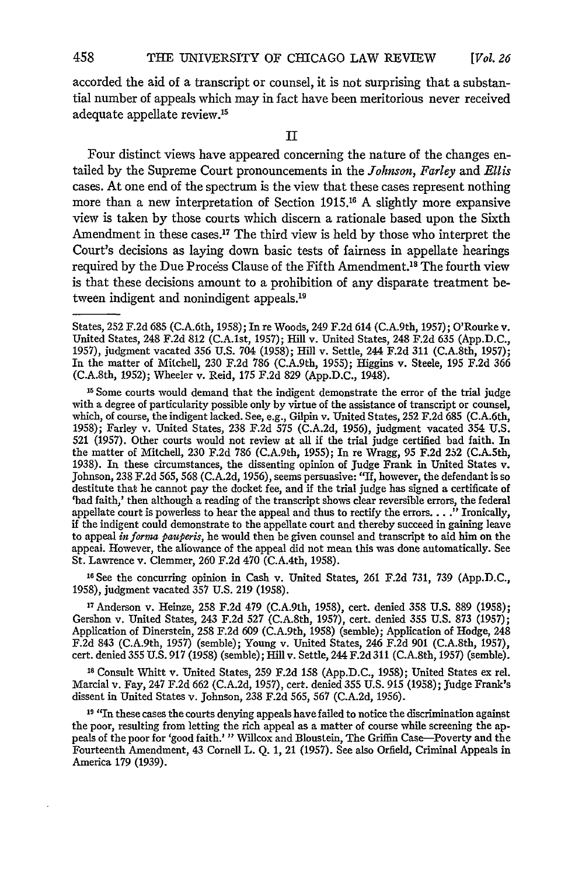accorded the aid of a transcript or counsel, it is not surprising that a substantial number of appeals which may in fact have been meritorious never received adequate appellate review.15

II

Four distinct views have appeared concerning the nature of the changes entailed by the Supreme Court pronouncements in the Johnson, *Farley* and *Ellis* cases. At one end of the spectrum is the view that these cases represent nothing more than a new interpretation of Section 1915.16 A slightly more expansive view is taken by those courts which discern a rationale based upon the Sixth Amendment in these cases.<sup>17</sup> The third view is held by those who interpret the Court's decisions as laying down basic tests of fairness in appellate hearings required by the Due Process Clause of the Fifth Amendment.<sup>18</sup> The fourth view is that these decisions amount to a prohibition of any disparate treatment between indigent and nonindigent appeals.<sup>19</sup>

**16** See the concurring opinion in Cash v. United States, 261 F.2d 731, 739 (App.D.C., 1958), judgment vacated 357 U.S. 219 (1958).

<sup>17</sup> Anderson v. Heinze, 258 F.2d 479 (C.A.9th, 1958), cert. denied 358 U.S. 889 (1958) Gershon v. United States, 243 F.2d 527 (C.A.8th, 1957), cert. denied 355 U.S. 873 (1957); Application of Dinerstein, 258 F.2d 609 (C.A.9th, 1958) (semble); Application of Hodge, 248 F.2d 843 (C.A.9th, 1957) (semble); Young v. United States, 246 F.2d 901 (C.A.8th, 1957), cert. denied 355 U.S. 917 (1958) (semble); Hill v. Settle, 244 F.2d 311 (C.A.8th, 1957) (semble).

**18** Consult Whitt v. United States, 259 F.2d 158 (App.D.C., 1958); United States ex rel. Marcial v. Fay, 247 F.2d **662** (C.A.2d, 1957), cert. denied 355 U.S. 915 (1958); Judge Frank's dissent in United States v. Johnson, 238 F.2d 565, 567 (C.A.2d, 1956).

<sup>19</sup> "In these cases the courts denying appeals have failed to notice the discrimination against the poor, resulting from letting the rich appeal as a matter of course while screening the appeals of the poor for 'good faith? **"** Willcox and Bloustein, The Griffin Case-Poverty and the Fourteenth Amendment, 43 Cornell L. Q. 1, 21 (1957). See also Orfield, Criminal Appeals in America 179 (1939).

States, 252 F.2d 685 (C.A.6th, 1958); In re Woods, 249 F.2d 614 (C.A.9th, 1957); O'Rourke v.<br>United States, 248 F.2d 812 (C.A.1st, 1957); Hill v. United States, 248 F.2d 635 (App.D.C., 1957), judgment vacated 356 U.S. 704 (1958); Hill v. Settle, 244 F.2d 311 (C.A.8th, 1957); In the matter of Mitchell, 230 F.2d **786** (C.A.9th, 1955); Higgins v. Steele, 195 F.2d 366 (C.A.8th, 1952); Wheeler v. Reid, 175 F.2d 829 (App.D.C., 1948).

**<sup>15</sup>** Some courts would demand that the indigent demonstrate the error of the trial judge with a degree of particularity possible only by virtue of the assistance of transcript or counsel, which, of course, the indigent lacked. See, e.g., Gilpin v. United States, 252 F.2d **685** (C.A.6th, 1958); Farley v. United States, 238 F.2d 575 (C.A.2d, 1956), judgment vacated 354 U.S. 521 (1957). Other courts would not review at all if the trial judge certified bad faith. In the matter of Mitchell, 230 F.2d 786 (C.A.gth, 1955); In re Wragg, 95 F.2d 252 (C.A.5th, 1938). In these circumstances, the dissenting opinion of Judge Frank in United States v.<br>Johnson, 238 F.2d 565, 568 (C.A.2d, 1956), seems persuasive: "If, however, the defendant is so destitute that he cannot pay the docke 'bad faith,' then although a reading of the transcript shows clear reversible errors, the federal appellate court is powerless to hear the appeal and thus to rectify the errors **......** Ironically, if the indigent could demonstrate to the appellate court and thereby succeed in gaining leave to appeal *informa pauperis,* he would then be given counsel and transcript to aid him on the appeal. However, the allowance of the appeal did not mean this was done automatically. See St. Lawrence v. Clemmer, 260 F.2d 470 (C.A.4th, 1958).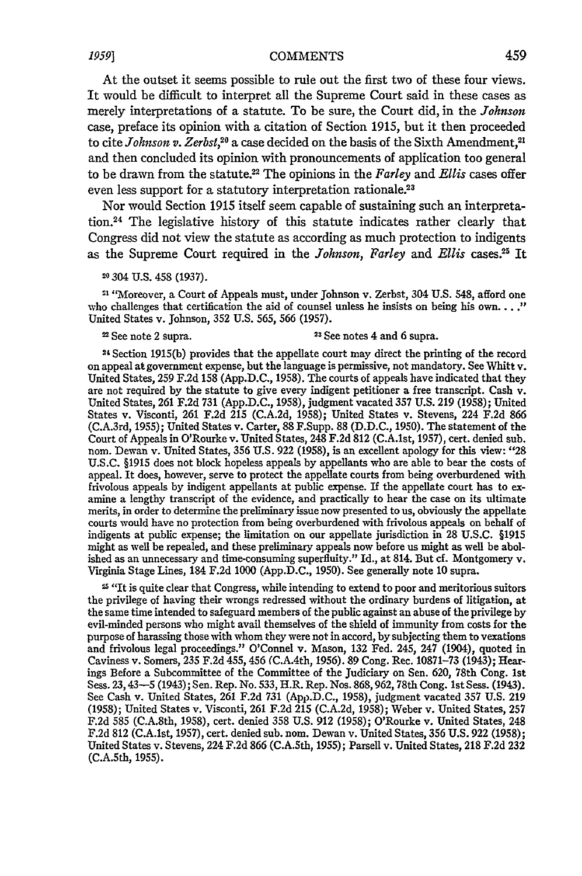### *1959]* **COMMENTS**

At the outset it seems possible to rule out the first two of these four views. It would be difficult to interpret all the Supreme Court said in these cases as merely interpretations of a statute. To be sure, the Court did, in the *Johnson* case, preface its opinion with a citation of Section 1915, but it then proceeded to cite *Johnson v. Zerbst*,<sup>20</sup> a case decided on the basis of the Sixth Amendment,<sup>21</sup> and then concluded its opinion with pronouncements of application too general to be drawn from the statute.22 The opinions in the *Farley* and *Ellis* cases offer even less support for a statutory interpretation rationale.23

Nor would Section **1915** itself seem capable of sustaining such an interpretation.24 The legislative history of this statute indicates rather clearly that Congress did not view the statute as according as much protection to indigents as the Supreme Court required in the *Johnson*, Farley and Ellis cases.<sup>25</sup> I

20 304 **U.S.** 458 (1937).

<sup>21</sup> "Moreover, a Court of Appeals must, under Johnson v. Zerbst, 304 U.S. 548, afford one who challenges that certification the aid of counsel unless he insists on being his own...." United States v. Johnson, **352** U.S. 565, **566** (1957).

# 22 See note 2 supra. 23 See notes 4 and **6** supra.

2 4 Section 1915(b) provides that the appellate court may direct the printing of the record on appeal at government expense, but the language is permissive, not mandatory. See Whitt v. United States, **259** F.2d 158 (App.D.C., 1958). The courts of appeals have indicated that they are not required by the statute to give every indigent petitioner a free transcript. Cash v. United States, **261** F.2d 731 (App.D.C., 1958), judgment vacated 357 U.S. **219** (1958); United States v. Visconti, 261 F.2d 215 (C.A.2d, 1958); United States v. Stevens, 224 F.2d 866 (C.A.3rd, 1955); United States v. Carter, 88 F.Supp. 88 (D.D.C., 1950). The statement of the Court of Appeals in O'Rourke v. United States, 248 F.2d 812 (C.A.lst, 1957), cert. denied sub. nom. Dewan v. United States, **356** U.S. 922 (1958), is an excellent apology for this view: *"28* U.S.C. §1915 does not block hopeless appeals by appellants who are able to bear the costs of appeal. It does, however, serve to protect the appellate courts from being overburdened with frivolous appeals by indigent appellants at public expense. If the appellate court has to examine a lengthy transcript of the evidence, and practically to hear the case on its ultimate merits, in order to determine the preliminary issue now presented to us, obviously the appellate courts would have no protection from being overburdened with frivolous appeals on behalf of indigents at public expense; the limitation on our appellate jurisdiction in **28** U.S.C. §1915 might as well be repealed, and these preliminary appeals now before us might as well be abolished as an unnecessary and time-consuming superfluity." Id., at 814. But cf. Montgomery v. Virginia Stage Lines, 184 F.2d **1000** (App.D.C., 1950). See generally note **10** supra.

z "It is quite clear that Congress, while intending to extend to poor and meritorious suitors the privilege of having their wrongs redressed without the ordinary burdens of litigation, at the same time intended to safeguard members of the public against an abuse of the privilege by evil-minded persons who might avail themselves of the shield of immunity from costs for the purpose of harassing those with whom they were not in accord, by subjecting them to vexations and frivolous legal proceedings." O'Connel v. Mason, 132 Fed. 245, 247 (1904), quoted in Caviness v. Somers, 235 **F.2d** 455, 456 (C.A.4th, 1956). 89 Cong. Rec. 10871-73 (1943); Hearings Before a Subcommittee of the Committee of the Judiciary on Sen. **620,** 78th Cong. 1st Sess. 23,43-5 (1943); Sen. Rep. No. 533, H.R. Rep. Nos. 868,962, 78th Cong. 1st Sess. (1943). See Cash v. United States, 261 F.2d 731 (App.D.C., 1958), judgment vacated 357 U.S. 219 (1958); United States v. Visconti, 261 F.2d 215 (C.A.2d, 1958); Weber v. United States, **257** F.2d 585 (C.A.8th, 1958), cert. denied **358** U.S. **912** (1958); O'Rourke v. United States, 248 F.2d **812** (C.A.lst, 1957), cert. denied sub. nom. Dewan v. United States, **356** U.S. **922** (1958); United States v. Stevens, 224 F.2d 866 (C.A.Sth, 1955); Parsell v. United States, 218 F.2d **232** (C.A.5th, 1955).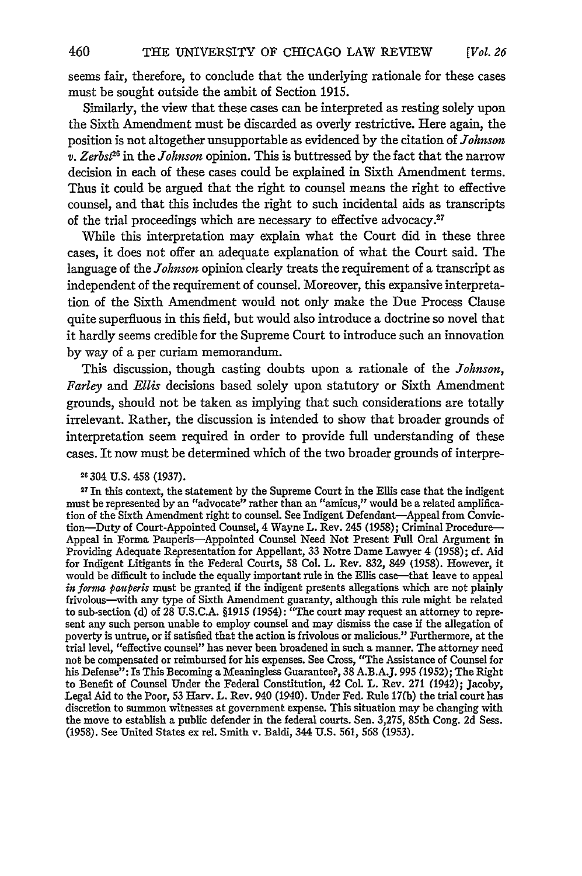seems fair, therefore, to conclude that the underlying rationale for these cases must be sought outside the ambit of Section **1915.**

Similarly, the view that these cases can be interpreted as resting solely upon the Sixth Amendment must be discarded as overly restrictive. Here again, the position is not altogether unsupportable as evidenced **by** the citation of *Johnson v. Zerbst12* in the *Johnson* opinion. This is buttressed **by** the fact that the narrow decision in each of these cases could be explained in Sixth Amendment terms. Thus it could be argued that the right to counsel means the right to effective counsel, and that this includes the right to such incidental aids as transcripts of the trial proceedings which are necessary to effective advocacy.<sup>27</sup>

While this interpretation may explain what the Court did in these three cases, it does not offer an adequate explanation of what the Court said. The language of the *Johnson* opinion clearly treats the requirement of a transcript as independent of the requirement of counsel. Moreover, this expansive interpretation of the Sixth Amendment would not only make the Due Process Clause quite superfluous in this field, but would also introduce a doctrine so novel that it hardly seems credible for the Supreme Court to introduce such an innovation **by** way of a per curiam memorandum.

This discussion, though casting doubts upon a rationale of the *Johnson, Farley* and *Ellis* decisions based solely upon statutory or Sixth Amendment grounds, should not be taken as implying that such considerations are totally irrelevant. Rather, the discussion is intended to show that broader grounds of interpretation seem required in order to provide full understanding of these cases. It now must be determined which of the two broader grounds of interpre-

### **26304 U.S. 458 (1937).**

**27** In this context, the statement **by** the Supreme Court in the Ellis case that the indigent must be represented **by** an "advocate" rather than an "amicus," would be a related amplification of the Sixth Amendment right to counsel. See Indigent Defendant-Appeal from Conviction-Duty of Court-Appointed Counsel, 4 Wayne L. Rev. 245 **(1958);** Criminal Procedure-Appeal in Forma Pauperis-Appointed Counsel Need Not Present Full Oral Argument in Providing Adequate Representation for Appellant, **33** Notre Dame Lawyer 4 **(1958);** cf. Aid for Indigent Litigants in the Federal Courts, **58** Col. L. Rev. **832,** 849 **(1958).** However, it would be difficult to include the equally important rule in the Ellis case-that leave to appeal *in forna pauperis* must be granted **if** the indigent presents allegations which are not plainly frivolous-with any type of Sixth Amendment guaranty, although this rule might be related to sub-section **(d)** of **28 U.S.C.A. §1915** (1954): "The court may request an attorney to represent any such person unable to employ counsel and may dismiss the case **if** the allegation of poverty is untrue, or if satisfied that the action is frivolous or malicious." Furthermore, at the trial level, "effective counsel" has never been broadened in such a manner. The attorney need not be compensated or reimbursed for his expenses. See Cross, "The Assistance of Counsel for his Defense": Is This Becoming a Meaningless Guarantee?, **38 A.B.A.J. 995 (1952);** The Right to Benefit of Counsel Under the Federal Constitution, 42 Col. L. Rev. **271** (1942); Jacoby, Legal Aid to the Poor, **53** Harv. L. Rev. 940 (1940). Under Fed. Rule **17(b)** the trial court has discretion to summon witnesses at government expense. This situation may be changing with the move to establish a public defender in the federal courts. Sen. **3,275,** 85th Cong. **2d** Sess. **(1958).** See United States ex rel. Smith v. Baldi, 344 **U.S. 561, 568 (1953).**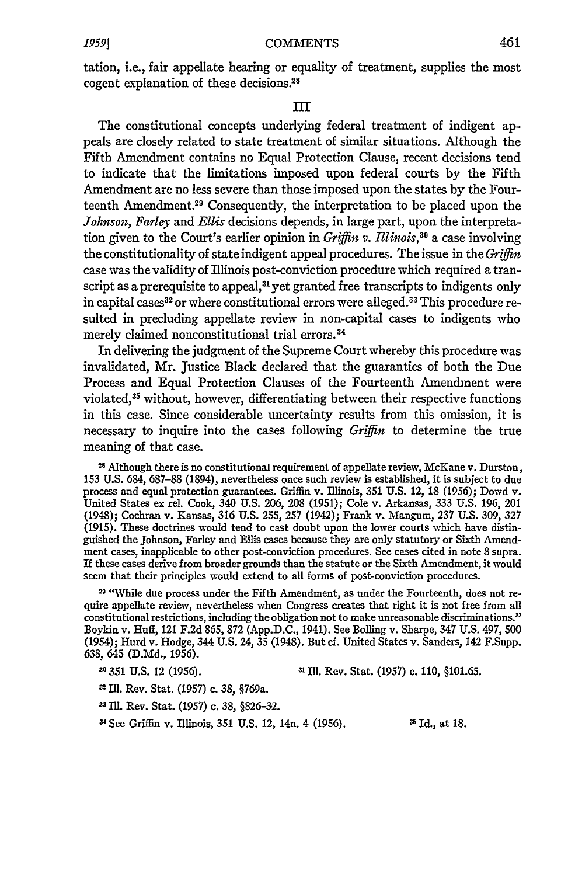tation, i.e., fair appellate hearing or equality of treatment, supplies the most cogent explanation of these decisions.<sup>28</sup>

## **I**

The constitutional concepts underlying federal treatment of indigent appeals are closely related to state treatment of similar situations. Although the Fifth Amendment contains no Equal Protection Clause, recent decisions tend to indicate that the limitations imposed upon federal courts **by** the Fifth Amendment are no less severe than those imposed upon the states **by** the Fourteenth Amendment.<sup>29</sup> Consequently, the interpretation to be placed upon the *Johnson, Farley* and *Ellis* decisions depends, in large part, upon the interpretation given to the Court's earlier opinion in *Griffin v. Illinois*,<sup>30</sup> a case involving the constitutionality of state indigent appeal procedures. The issue in the *Griffin* case was the validity of Illinois post-conviction procedure which required a transcript as a prerequisite to appeal,<sup>31</sup> yet granted free transcripts to indigents only in capital cases<sup>32</sup> or where constitutional errors were alleged.<sup>33</sup> This procedure resulted in precluding appellate review in non-capital cases to indigents who merely claimed nonconstitutional trial errors.<sup>34</sup>

In delivering the judgment of the Supreme Court whereby this procedure was invalidated, Mr. Justice Black declared that the guaranties of both the Due Process and Equal Protection Clauses of the Fourteenth Amendment were violated,<sup>35</sup> without, however, differentiating between their respective functions in this case. Since considerable uncertainty results from this omission, it is necessary to inquire into the cases following *Griffin* to determine the true meaning of that case.

**28** Although there is no constitutional requirement of appellate review, McKane v. Durston, **153 U.S.** 684, **687-88** (1894), nevertheless once such review is established, it is subject to due process and equal protection guarantees. Griffin v. Illinois, **351 U.S.** 12, **18 (1956);** Dowd v. United States ex rel. Cook, 340 **U.S. 206, 208 (1951);** Cole v. Arkansas, **333 U.S. 196,** 201 (1948); Cochran v. Kansas, **316 U.S. 255, 257** (1942); Frank v. Mangum, **237 U.S. 309, 327 (1915).** These doctrines would tend to cast doubt upon the lower courts which have distinguished the Johnson, Farley and Ellis cases because they are only statutory or Sixth Amendment cases, inapplicable to other post-conviction procedures. See cases cited in note **8** supra. If these cases derive from broader grounds than the statute or the Sixth Amendment, it would seem that their principles would extend to all forms of post-conviction procedures.

*219* "While due process under the Fifth Amendment, as under the Fourteenth, does not require appellate review, nevertheless when Congress creates that right it is not free from all constitutional restrictions, including the obligation not to make unreasonable discriminations." Boykin v. Huff, 121 **F.2d 865, 872 (App.D.C.,** 1941). See Bolling v. Sharpe, 347 **U.S.** 497, **500** (1954); Hurd v. Hodge, 344 **U.S.** 24, **35** (1948). But **cf.** United States v. Sanders, 142 F.Supp. **638,** 645 **(D.Md., 1956).**

*10* **351 U.S.** 12 **(1956). 31 Ill.** Rev. Stat. **(1957)** c. **110, §101.65.**

**'\* Ill.** Rev. Stat. **(1957)** c. **38,** §769a.

**33 Ill.** Rev. Stat. **(1957)** c. **38, §826-32.**

**34 See** Griffin v. Illinois, **351 U.S.** 12, 14n. 4 **(1956). 5** Id., at **18.**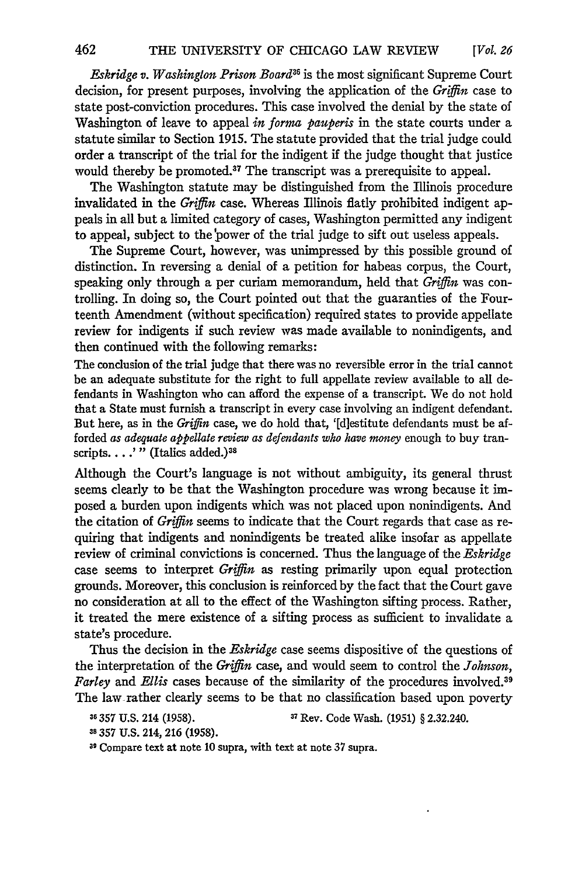*Eskridge v. Washington Prison Board"6* is the most significant Supreme Court decision, for present purposes, involving the application of the Griffin case to state post-conviction procedures. This case involved the denial by the state of Washington of leave to appeal *in forma pauperis* in the state courts under a statute similar to Section 1915. The statute provided that the trial judge could order a transcript of the trial for the indigent if the judge thought that justice would thereby be promoted.<sup>37</sup> The transcript was a prerequisite to appeal.

The Washington statute may be distinguished from the Illinois procedure invalidated in the *Griffin* case. Whereas Illinois flatly prohibited indigent appeals in all but a limited category of cases, Washington permitted any indigent to appeal, subject to the power of the trial judge to sift out useless appeals.

The Supreme Court, however, was unimpressed by this possible ground of distinction. In reversing a denial of a petition for habeas corpus, the Court, speaking only through a per curiam memorandum, held that *Griffin* was controlling. In doing so, the Court pointed out that the guaranties of the Fourteenth Amendment (without specification) required states to provide appellate review for indigents if such review was made available to nonindigents, and then continued with the following remarks:

The conclusion of the trial judge that there was no reversible error in the trial cannot be an adequate substitute for the right to full appellate review available to all defendants in Washington who can afford the expense of a transcript. We do not hold that a State must furnish a transcript in every case involving an indigent defendant. But here, as in the *Griffin* case, we do hold that, '[diestitute defendants must be afforded *as adequate appellate review as defendants who have money* enough to buy transcripts. . . .'" (Italics added.)<sup>38</sup>

Although the Court's language is not without ambiguity, its general thrust seems clearly to be that the Washington procedure was wrong because it imposed a burden upon indigents which was not placed upon nonindigents. And the citation of *Griffin* seems to indicate that the Court regards that case as requiring that indigents and nonindigents be treated alike insofar as appellate review of criminal convictions is concerned. Thus the language of the *Eskridge* case seems to interpret *Griffin* as resting primarily upon equal protection grounds. Moreover, this conclusion is reinforced by the fact that the Court gave no consideration at all to the effect of the Washington sifting process. Rather, it treated the mere existence of a sifting process as sufficient to invalidate a state's procedure.

Thus the decision in the *Eskridge* case seems dispositive of the questions of the interpretation of the *Grijin* case, and would seem to control the *Johnson, Farley* and *Ellis* cases because of the similarity of the procedures involved.<sup>39</sup> The law rather clearly seems to be that no classification based upon poverty

<sup>36</sup> 357 U.S. 214 (1958). <sup>37</sup> Rev. Code Wash. (1951) § 2.32.240.

**<sup>38</sup>**357 U.S. 214, 216 (1958).

**39** Compare text at note 10 supra, with text at note 37 supra.

462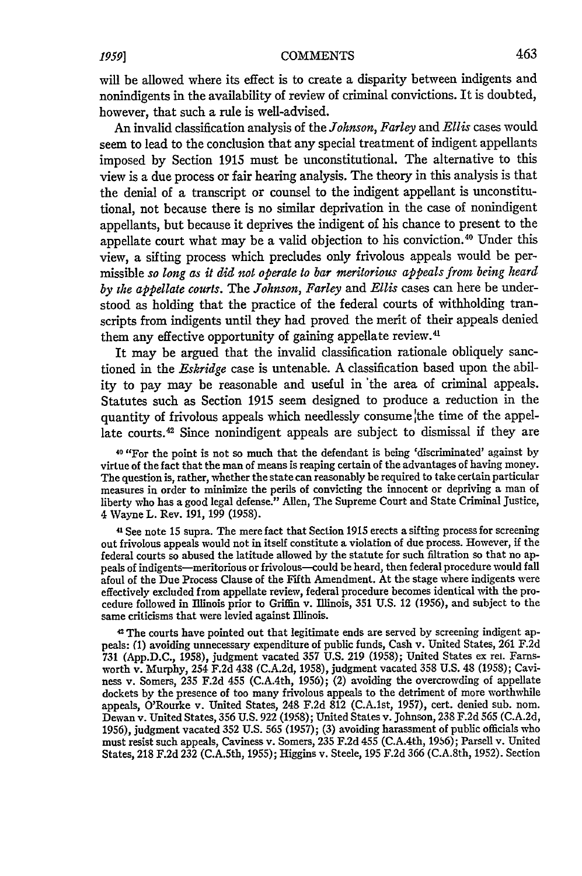will be allowed where its effect is to create a disparity between indigents and nonindigents in the availability of review of criminal convictions. It is doubted, however, that such a rule is well-advised.

An invalid classification analysis of the *Johnson, Farley* and *Ellis* cases would seem to lead to the conclusion that any special treatment of indigent appellants imposed **by** Section **1915** must be unconstitutional. The alternative to this view is a due process or fair hearing analysis. The theory in this analysis is that the denial of a transcript or counsel to the indigent appellant is unconstitutional, not because there is no similar deprivation in the case of nonindigent appellants, but because it deprives the indigent of his chance to present to the appellate court what may be a valid objection to his conviction.<sup>40</sup> Under this view, a sifting process which precludes only frivolous appeals would be permissible *so long as it did not operate to bar meritorious appeals from being heard by the appellate courts.* The *Johnson, Farley* and *Ellis* cases can here be understood as holding that the practice of the federal courts of withholding transcripts from indigents until they had proved the merit of their appeals denied them any effective opportunity of gaining appellate review.<sup>41</sup>

It may be argued that the invalid classification rationale obliquely sanctioned in the *Eskridge* case is untenable. **A** classification based upon the ability to pay may be reasonable and useful in 'the area of criminal appeals. Statutes such as Section **1915** seem designed to produce a reduction in the quantity of frivolous appeals which needlessly consume the time of the appellate courts.<sup>42</sup> Since nonindigent appeals are subject to dismissal if they are

**40** "For the point is not so much that the defendant is being 'discriminated' against **by** virtue of the fact that the man of means is reaping certain of the advantages of having money. The question is, rather, whether the state can reasonably be required to take certain particular measures in order to minimize the perils of convicting the innocent or depriving a man of liberty who has a good legal defense." Allen, The Supreme Court and State Criminal Justice, 4 Wayne L. Rev. **191, 199 (1958).**

**41** See note **15** supra. The mere fact that Section **1915** erects a sifting process for screening out frivolous appeals would not in itself constitute a violation of due process. However, if the federal courts so abused the latitude allowed **by** the statute for such filtration so that no appeals of indigents—meritorious or frivolous—could be heard, then federal procedure would fall afoul of the Due Process Clause of the Fifth Amendment. At the stage where indigents were effectively excluded from appellate review, federal procedure becomes identical with the procedure followed in Illinois prior to Griffin v. Illinois, **351 U.S.** 12 **(1956),** and subject to the same criticisms that were levied against Illinois.

2 The courts have pointed out that legitimate ends are served **by** screening indigent appeals: **(1)** avoiding unnecessary expenditure of public funds, Cash v. United States, **261 F.2d 731 (App.D.C., 1958),** judgment vacated **357 U.S. 219 (1958);** United States ex **rel.** Farnsworth v. Murphy, 254 **F.2d** 438 **(C.A.2d, 1958),** judgment vacated **358 U.S.** 48 **(1958);** Caviness v. Somers, **235 F.2d** 455 (C.A.4th, **1956);** (2) avoiding the overcrowding of appellate dockets **by** the presence of too many frivolous appeals to the detriment of more worthwhile appeals, O'Rourke v. United States, 248 **F.2d** 812 (C.A.lst, **1957),** cert. denied sub. nom. Dewan v. United States, **356 U.S. 922 (1958);** United States v. Johnson, **238 F.2d 565 (C.A.2d, 1956),** judgment vacated **352 U.S. 565 (1957); (3)** avoiding harassment of public officials who must resist such appeals, Caviness v. Somers, **235 F.2d** 455 (C.A.4th, **19,6);** Parsell v. United States, **218 F.2d 232** (C.A.Sth, **1955);** Higgins v. Steele, **195 F.2d 366** (C.A.8th, **1952).** Section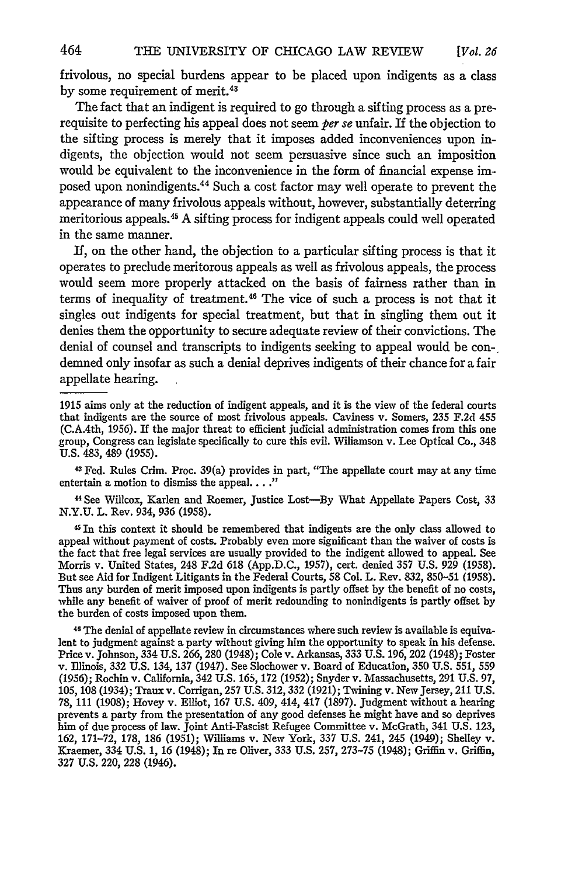frivolous, no special burdens appear to be placed upon indigents as a class by some requirement of merit.<sup>43</sup>

The fact that an indigent is required to go through a sifting process as a prerequisite to perfecting his appeal does not seem *per se* unfair. If the objection to the sifting process is merely that it imposes added inconveniences upon indigents, the objection would not seem persuasive since such an imposition would be equivalent to the inconvenience in the form of financial expense imposed upon nonindigents.44 Such a cost factor may well operate to prevent the appearance of many frivolous appeals without, however, substantially deterring meritorious appeals.<sup>45</sup> A sifting process for indigent appeals could well operated in the same manner.

If, on the other hand, the objection to a particular sifting process is that it operates to preclude meritorous appeals as well as frivolous appeals, the process would seem more properly attacked on the basis of fairness rather than in terms of inequality of treatment. 46 The vice of such a process is not that it singles out indigents for special treatment, but that in singling them out it denies them the opportunity to secure adequate review of their convictions. The denial of counsel and transcripts to indigents seeking to appeal would be condemned only insofar as such a denial deprives indigents of their chance for a fair appellate hearing.

<sup>4</sup> 3 Fed. Rules Crim. Proc. 39(a) provides in part, "The appellate court may at any time entertain a motion to dismiss the appeal...."

44 See Willcox, Karlen and Roemer, Justice Lost-By What Appellate Papers Cost, 33 N.Y.U. L. Rev. 934, *936* (1958).

4 In this context it should be remembered that indigents are the only class allowed to appeal without payment of costs. Probably even more significant than the waiver of costs is the fact that free legal services are usually provided to the indigent allowed to appeal. See Morris v. United States, 248 F.2d **618** (App.D.C., 1957), cert. denied 357 U.S. 929 (1958). But see Aid for Indigent Litigants in the Federal Courts, 58 Col. L. Rev. 832, **850-51** (1958). Thus any burden of merit imposed upon indigents is partly offset by the benefit of no costs, while any benefit of waiver of proof of merit redounding to nonindigents is partly offset by the burden of costs imposed upon them.

46 The denial of appellate review in circumstances where such review is available is equivalent to judgment against a party without giving him the opportunity to speak in his defense. Price v. Johnson, 334 U.S. 266, 280 (1948); Cole v. Arkansas, 333 U.S. 196, 202 (1948); Foster v. Illinois, 332 U.S. 134, 137 (1947). See Slochower v. Board of Education, 350 U.S. 551, 559 (1956); Rochin v. California, 342 U.S. 165, **172** (1952); Snyder v. Massachusetts, 291 U.S. **97,** 105, 108 (1934); Traux v. Corrigan, 257 U.S. 312, 332 (1921); Twining v. New Jersey, 211 U.S. 78, 111 (1908); Hovey v. Elliot, **167** U.S. 409, 414, 417 (1897). Judgment without a hearing prevents a party from the presentation of any good defenses he might have and so deprives him of due process of law. Joint Anti-Fascist Refugee Committee v. McGrath, 341 U.S. 123, 162, **171-72,** 178, **186** (1951); Williams v. New York, 337 U.S. 241, 245 (1949); Shelley v. Kraemer, 334 U.S. **1,** 16 (1948); In re Oliver, 333 U.S. 257, 273-75 (1948); Griffin v. Griffin, 327 U.S. 220, 228 (1946).

<sup>1915</sup> aims only at the reduction of indigent appeals, and it is the view of the federal courts that indigents are the source of most frivolous appeals. Caviness v. Somers, 235 F.2d 455 (C.A.4th, 1956). If the major threat to efficient judicial administration comes from this one group, Congress can legislate specifically to cure this evil. Wiliamson v. Lee Optical Co., 348 U.S. 483, 489 (1955).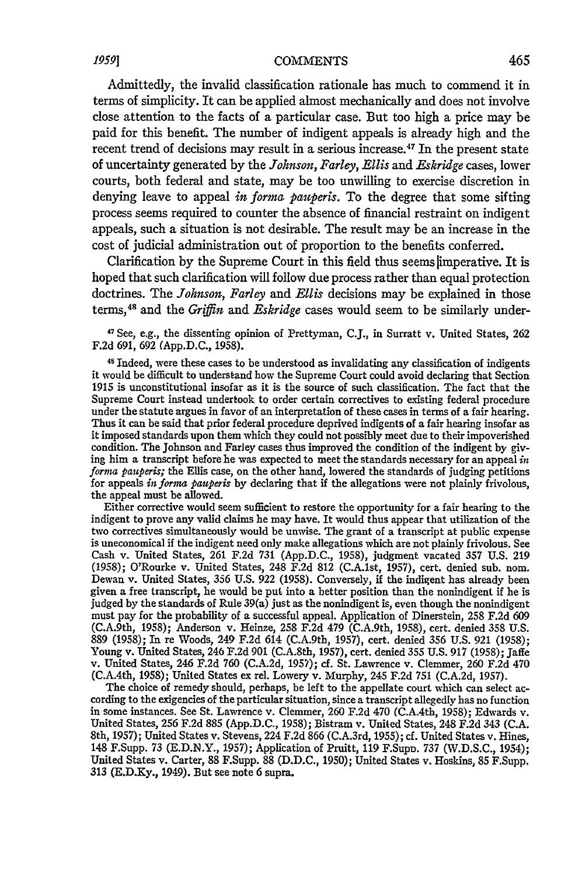## *1959]* **COMMENTS**

Admittedly, the invalid classification rationale has much to commend it in terms of simplicity. It can be applied almost mechanically and does not involve close attention to the facts of a particular case. But too high a price may be paid for this benefit. The number of indigent appeals is already high and the recent trend of decisions may result in a serious increase. 47 In the present state of uncertainty generated by the *Johnson, Farley, Ellis* and *Eskridge* cases, lower courts, both federal and state, may be too unwilling to exercise discretion in denying leave to appeal *in forma pauperis.* To the degree that some sifting process seems required to counter the absence of financial restraint on indigent appeals, such a situation is not desirable. The result may be an increase in the cost of judicial administration out of proportion to the benefits conferred.

Clarification by the Supreme Court in this field thus seems limperative. It is hoped that such clarification will follow due process rather than equal protection doctrines. The *Johnson, Farley* and *Ellis* decisions may be explained in those terms, 48 and the *Griffin* and *Eskridge* cases would seem to be similarly under-

**'7** See, e.g., the dissenting opinion of Prettyman, **C.J.,** in Surratt v. United States, 262 F.2d 691, 692 (App.D.C., 1958).

**<sup>48</sup>**Indeed, were these cases to be understood as invalidating any classification of indigents it would be difficult to understand how the Supreme Court could avoid declaring that Section 1915 is unconstitutional insofar as it is the source of such classification. The fact that the Supreme Court instead undertook to order certain correctives to existing federal procedure under the statute argues in favor of an interpretation of these cases in terms of a fair hearing. Thus it can be said that prior federal procedure deprived indigents of a fair hearing insofar as it imposed standards upon them which they could not possibly meet due to their impoverished condition. The Johnson and Farley cases thus improved the condition of the indigent by giving him a transcript before he was expected to meet the standards necessary for an appeal *in forna pauperis;* the Ellis case, on the other hand, lowered the standards of judging petitions for appeals *in forma pauperis* by declaring that if the allegations were not plainly frivolous, the appeal must be allowed.

Either corrective would seem sufficient to restore the opportunity for a fair hearing to the indigent to prove any valid claims he may have. It would thus appear that utilization of the two correctives simultaneously would be unwise. The grant of a transcript at public expense is uneconomical if the indigent need only make allegations which are not plainly frivolous. See Cash v. United States, 261 F.2d 731 (App.D.C., 1958), judgment vacated 357 U.S. 219 (1958); O'Rourke v. United States, 248 F.2d 812 (C.A.lst, 1957), cert. denied sub. nom. Dewan v. United States, 356 **U.S. 922** (1958). Conversely, **if** the indigent has already been given a free transcript, he would be put into a better position than the nonindigent if he is judged by the standards of Rule 39(a) just as the nonindigent is, even though the nonindigent must pay for the probability of a successful appeal. Application of Dinerstein, 258 F.2d 609 (C.A.9th, 1958); Anderson v. Heinze, 258 F.2d 479 (C.A.9th, 1958), cert. denied 358 U.S. **889** (1958); In re Woods, 249 F.2d 614 (C.A.9th, 1957), cert. denied **356** U.S. **921** (1958); Young v. United States, 246 F.2d **901** (C.A.8th, 1957), cert. denied 355 U.S. **917** (1958); Jaffe v. United States, 246 F.2d 760 (C.A.2d, 1957); cf. St. Lawrence v. Clemmer, **260** F.2d 470 (C.A.4th, 1958); United States ex rel. Lowery v. Murphy, 245 F.2d **751** (C.A.2d, 1957).

The choice of remedy should, perhaps, be left to the appellate court which can select according to the exigencies of the particular situation, since a transcript allegedly has no function in some instances. See St. Lawrence v. Clemmer, **260** F.2d 470 (C.A.4th, 1958); Edwards v. United States, **256** F.2d 885 (App.D.C., 1958); Bistram v. United States, 248 F.2d 343 (C.A. 8th, 1957); United States v. Stevens, 224 F.2d **866** (C.A.3rd, 1955); cf. United States v. Hines, 148 F.Supp. 73 (E.D.N.Y., 1957); Application of Pruitt, **119** F.Supn. **737** (W.D.S.C., 1954); United States v. Carter, 88 F.Supp. **88** (D.D.C., 1950); United States v. Hoskins, **85** F.Supp. 313 (E.D.Xy., 1949). But see note 6 supra.